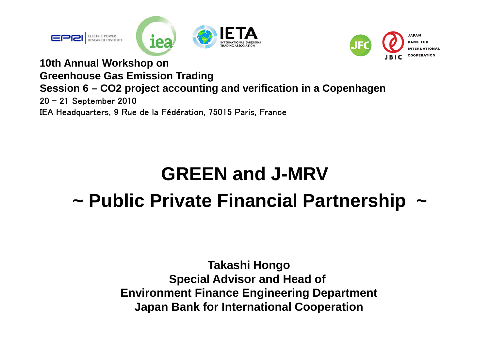



**10th Annual Workshop on Greenhouse Gas Emission Trading Session 6 – CO2 project accounting and verification in a Copenhagen** 20 – 21 September 2010 IEA Headquarters, 9 Rue de la Fédération, 75015 Paris, France

## **GREEN and J-MRV~ Public Private Financial Partnership ~**

**Takashi Hongo Special Advisor and Head of Environment Finance Engineering Department Japan Bank for International Cooperation**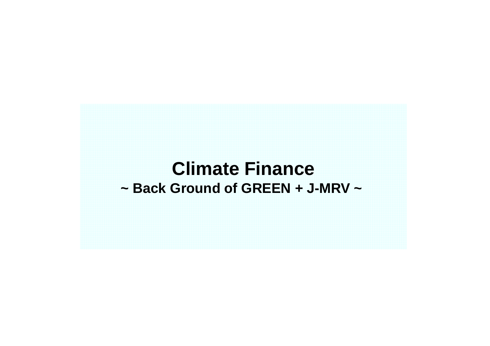### **Climate Finance ~ Back Ground of GREEN + J-MRV ~**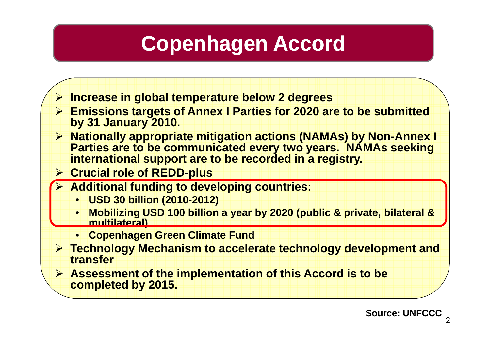# **Copenhagen Accord**

- ¾ **Increase in global temperature below 2 degrees**
- ¾ **Emissions targets of Annex I Parties for 2020 are to be submitted by 31 January 2010.**
- ¾ **Nationally appropriate mitigation actions (NAMAs) by Non-Annex I Parties are to be communicated every two years. NAMAs seeking international support are to be recorded in a registry.**
- ¾ **Crucial role of REDD -plus**
- ¾ **Additional funding to developing countries:** 
	- **USD 30 billion (2010-2012)**
	- • **Mobilizing USD 100 billion a year by 2020 (public & private, bilateral & multilateral)**
	- **Copenhagen Green Climate Fund**
- ¾ **Technology Mechanism to accelerate technology development and transfer**
- ¾ **Assessment of the implementation of this Accord is to be completed by 2015.**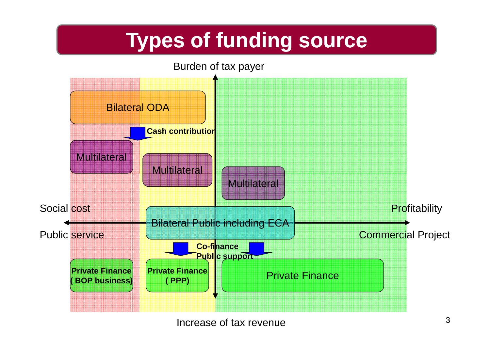# **Types of funding sources Types of funding source**

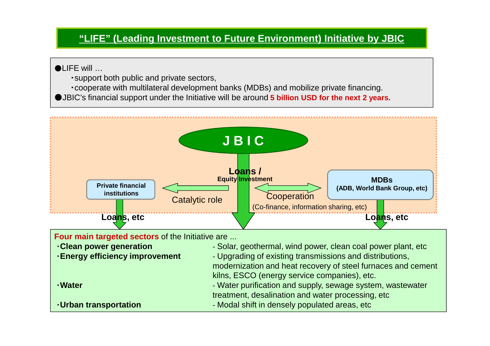#### **"LIFE" (Leading Investment to Future Environment) Initiative by JBIC**

#### ●LIFE will …

- ・support both public and private sectors,
- ・cooperate with multilateral development banks (MDBs) and mobilize private financing.
- ●JBIC's financial support under the Initiative will be around **5 billion USD for the next 2 years.**

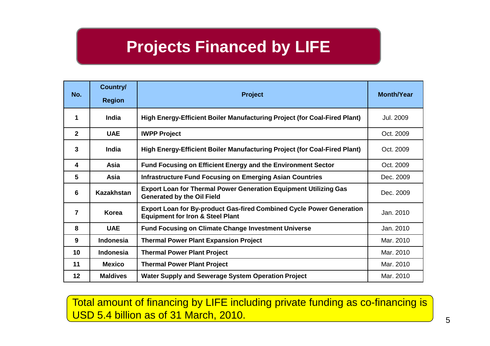### **Projects Financed by LIFE**

| No.            | Country/<br><b>Region</b> | <b>Project</b>                                                                                                             | <b>Month/Year</b> |
|----------------|---------------------------|----------------------------------------------------------------------------------------------------------------------------|-------------------|
| 1              | <b>India</b>              | High Energy-Efficient Boiler Manufacturing Project (for Coal-Fired Plant)                                                  | Jul. 2009         |
| $\overline{2}$ | <b>UAE</b>                | <b>IWPP Project</b>                                                                                                        | Oct. 2009         |
| $\mathbf{3}$   | India                     | High Energy-Efficient Boiler Manufacturing Project (for Coal-Fired Plant)                                                  | Oct. 2009         |
| 4              | <b>Asia</b>               | <b>Fund Focusing on Efficient Energy and the Environment Sector</b>                                                        | Oct. 2009         |
| 5              | Asia                      | <b>Infrastructure Fund Focusing on Emerging Asian Countries</b>                                                            | Dec. 2009         |
| 6              | Kazakhstan                | <b>Export Loan for Thermal Power Generation Equipment Utilizing Gas</b><br><b>Generated by the Oil Field</b>               | Dec. 2009         |
| $\overline{7}$ | Korea                     | <b>Export Loan for By-product Gas-fired Combined Cycle Power Generation</b><br><b>Equipment for Iron &amp; Steel Plant</b> | Jan. 2010         |
| 8              | <b>UAE</b>                | <b>Fund Focusing on Climate Change Investment Universe</b>                                                                 | Jan. 2010         |
| 9              | <b>Indonesia</b>          | <b>Thermal Power Plant Expansion Project</b>                                                                               | Mar. 2010         |
| 10             | <b>Indonesia</b>          | <b>Thermal Power Plant Project</b>                                                                                         | Mar. 2010         |
| 11             | <b>Mexico</b>             | <b>Thermal Power Plant Project</b>                                                                                         | Mar. 2010         |
| 12             | <b>Maldives</b>           | Water Supply and Sewerage System Operation Project                                                                         | Mar. 2010         |

Total amount of financing by LIFE including private funding as co-financing is USD 5.4 billion as of 31 March, 2010.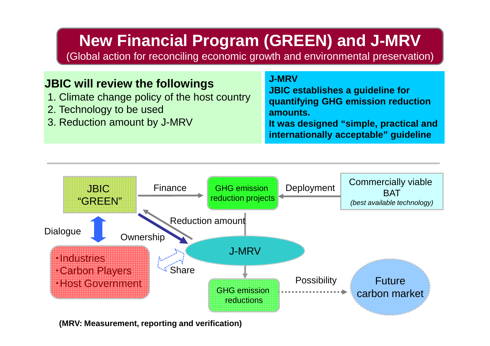### **New Financial Program (GREEN) and J-MRV**

(Global action for reconciling economic growth and environmental preservation)

#### **JBIC will review the followings**

- 1. Climate change policy of the host country
- 2. Technology to be used
- 3. Reduction amount by J-MRV

#### **J-MRV**

**JBIC establishes a guideline for quantifying GHG emission reduction amounts.It was designed "simple, practical and** 

**internationally acceptable" guideline**



**(MRV: Measurement, reporting and verification)**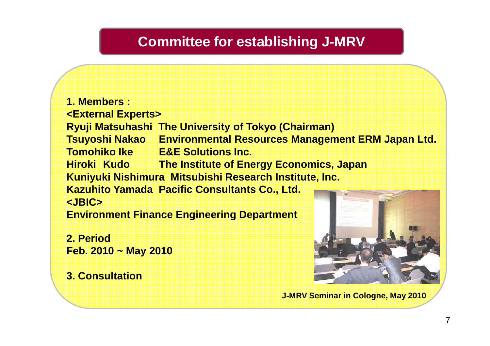#### **Committee for establishing J-MRV**

**1. Members : <External Experts> Ryuji Matsuhashi The University of Tokyo (Chairman) Tsuyoshi Nakao Environmental Resources Management ERM Japan Ltd. Tomohiko Ike E&E Solutions Inc. Hiroki Kudo The Institute of Energy Economics, Japan Kuniyuki Nishimura Mitsubishi Research Institute, Inc. Kazuhito Yamada Pacific Consultants Co., Ltd. <JBIC>Environment Finance Engineering Department** 

**2. PeriodFeb. 2010 ~ May 2010**

**3. Consultation** 



**J-MRV Seminar in Cologne, May 2010**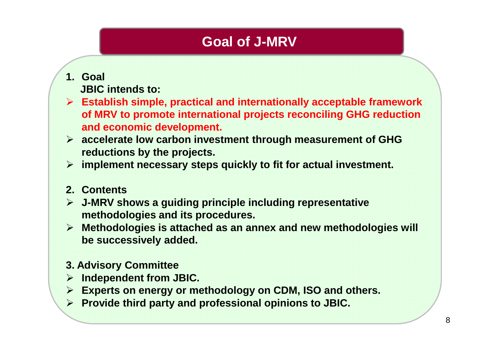### **Goal of J-MRV**

#### **1. Goal**

- **JBIC intends to:**
- ¾ **Establish simple, practical and internationally acceptable framework of MRV to promote international projects reconciling GHG reduction and economic development.**
- ¾ **accelerate low carbon investment through measurement of GHG reductions by the projects.**
- ¾ **implement necessary steps quickly to fit for actual investment.**

#### **2. Contents**

- ¾ **J-MRV shows a guiding principle including representative methodologies and its procedures.**
- ¾ **Methodologies is attached as an annex and new methodologies will be successively added.**

#### **3. Advisory Committee**

- ¾ **Independent from JBIC.**
- ¾ **Experts on energy or methodology on CDM, ISO and others.**
- ¾ **Provide third party and professional opinions to JBIC.**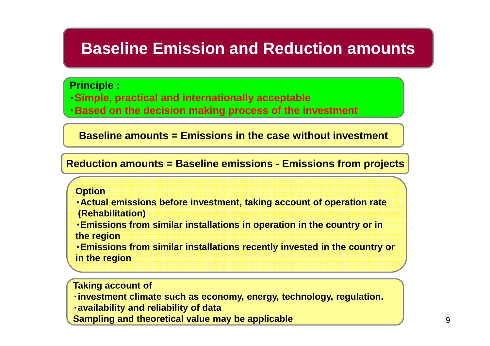### **Baseline Emission and Reduction amounts**

#### **Principle :**

- ・**Simple, practical and internationally acceptable**
- ・**Based on the decision making process of the investment**

**Baseline amounts = Emissions in the case without investment**

#### **Reduction amounts = Baseline emissions - Emissions from projects**

#### **Option**

- ・**Actual emissions before investment, taking account of operation rate (Rehabilitation)**
- ・**Emissions from similar installations in operation in the country or in the region**
- ・**Emissions from similar installations recently invested in the country or in the region**

#### **Taking account of**

- ・**investment climate such as economy, energy, technology, regulation.**
- ・**availability and reliability of data**
- **Sampling and theoretical value may be applicable**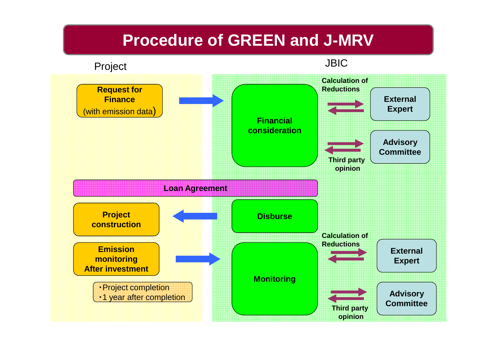### **Procedure of GREEN and J-MRV**

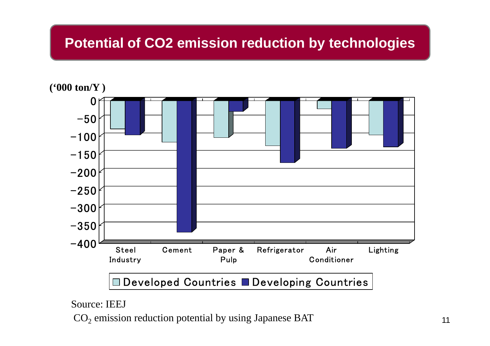#### **Potential of CO2 emission reduction by technologies**



Source: IEEJ

 $\mathrm{CO}_2$  emission reduction potential by using Japanese BAT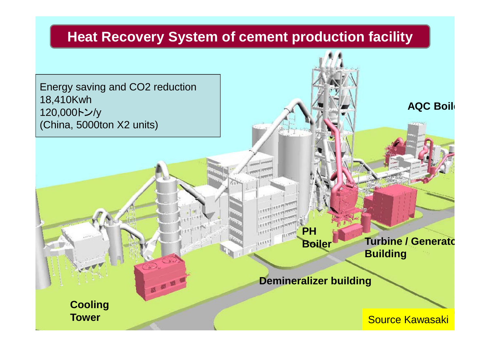## Heat Recovery System of cement production facility Energy saving and CO2 reduction 18,410Kwh 120,000トン/y (China, 5000ton X2 units) **AQC Boile** Source Kawasaki **Cooling Tower PHBoiler Demineralizer building Turbine / Generato Building**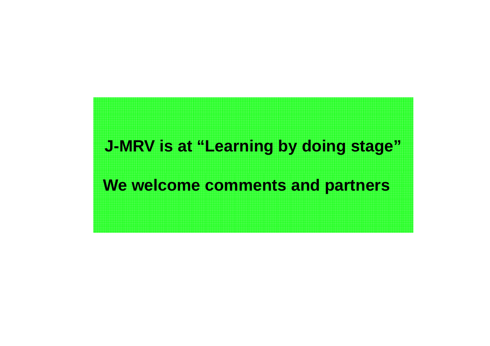### **J-MRV is at "Learning by doing stage"**

### **We welcome comments and partners**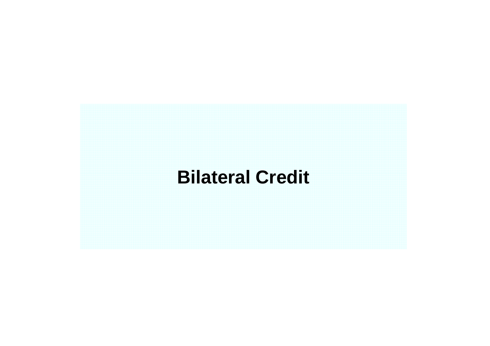## **Bilateral Credit**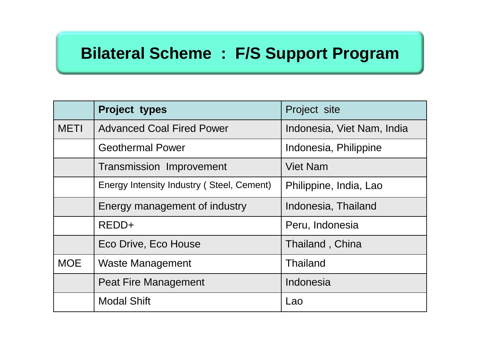### **Bilateral Scheme : F/S Support Program**

|             | Project types                             | Project site               |  |
|-------------|-------------------------------------------|----------------------------|--|
| <b>METI</b> | <b>Advanced Coal Fired Power</b>          | Indonesia, Viet Nam, India |  |
|             | <b>Geothermal Power</b>                   | Indonesia, Philippine      |  |
|             | <b>Transmission Improvement</b>           | <b>Viet Nam</b>            |  |
|             | Energy Intensity Industry (Steel, Cement) | Philippine, India, Lao     |  |
|             | Energy management of industry             | Indonesia, Thailand        |  |
|             | REDD+                                     | Peru, Indonesia            |  |
|             | Eco Drive, Eco House                      | Thailand, China            |  |
| <b>MOE</b>  | <b>Waste Management</b>                   | <b>Thailand</b>            |  |
|             | <b>Peat Fire Management</b>               | Indonesia                  |  |
|             | <b>Modal Shift</b>                        | Lao                        |  |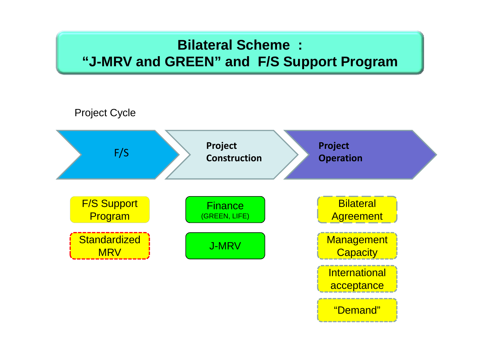### **Bilateral Scheme : "J-MRV and GREEN" and F/S Support Program**